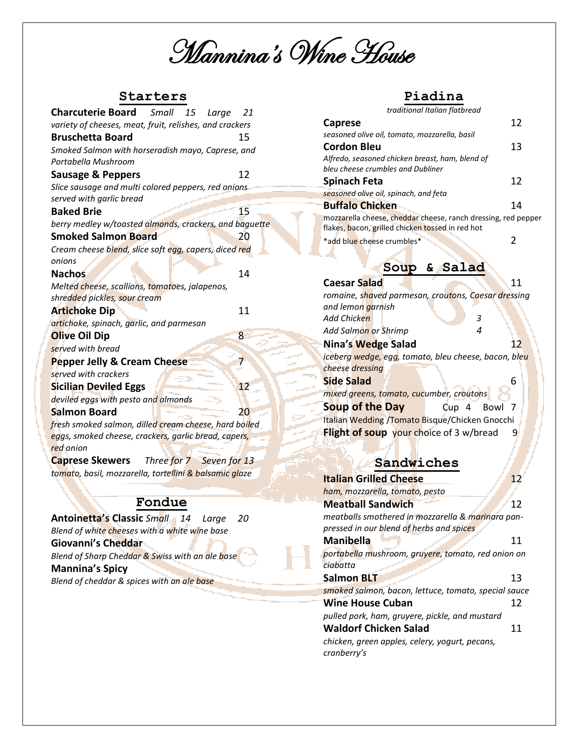Mannina's Wine House

## **Starters**

| <b>Charcuterie Board</b> Small 15<br>Large                                | 21 |  |  |
|---------------------------------------------------------------------------|----|--|--|
| variety of cheeses, meat, fruit, relishes, and crackers                   |    |  |  |
| <b>Bruschetta Board</b>                                                   | 15 |  |  |
| Smoked Salmon with horseradish mayo, Caprese, and                         |    |  |  |
| Portabella Mushroom                                                       |    |  |  |
| <b>Sausage &amp; Peppers</b>                                              | 12 |  |  |
| Slice sausage and multi colored peppers, red onions                       |    |  |  |
| served with garlic bread                                                  |    |  |  |
| <b>Baked Brie</b>                                                         | 15 |  |  |
| berry medley w/toasted almonds, crackers, and baguette                    |    |  |  |
| <b>Smoked Salmon Board</b>                                                | 20 |  |  |
| Cream cheese blend, slice soft egg, capers, diced red                     |    |  |  |
| onions                                                                    |    |  |  |
| <b>Nachos</b>                                                             | 14 |  |  |
| Melted cheese, scallions, tomatoes, jalapenos,                            |    |  |  |
| shredded pickles, sour cream                                              |    |  |  |
| <b>Artichoke Dip</b>                                                      | 11 |  |  |
| artichoke, spinach, garlic, and parmesan                                  |    |  |  |
| <b>Olive Oil Dip</b>                                                      | 8  |  |  |
| served with bread                                                         |    |  |  |
| <b>Pepper Jelly &amp; Cream Cheese</b>                                    | 7  |  |  |
| served with crackers                                                      |    |  |  |
| <b>Sicilian Deviled Eggs</b>                                              | 12 |  |  |
| deviled eggs with pesto and almonds                                       |    |  |  |
| <b>Salmon Board</b>                                                       | 20 |  |  |
| fresh smoked salmon, dilled cream cheese, hard boiled                     |    |  |  |
| eggs, smoked cheese, crackers, garlic bread, capers,                      |    |  |  |
| red onion                                                                 |    |  |  |
| <b>Caprese Skewers</b><br>Three for 7 Seven for 13                        |    |  |  |
| tomato, basil, mozzarella, tortel <mark>lini &amp; balsamic gla</mark> ze |    |  |  |
|                                                                           |    |  |  |

## **Fondue**

| <b>Antoinetta's Classic Small 14 Large</b><br>- 20 |  |
|----------------------------------------------------|--|
| Blend of white cheeses with a white wine base      |  |
| Giovanni's Cheddar                                 |  |
| Blend of Sharp Cheddar & Swiss with an ale base    |  |
| <b>Mannina's Spicy</b>                             |  |
| Blend of cheddar & spices with an ale base         |  |
|                                                    |  |

### **Piadina**

*traditional Italian flatbread*

| <b>Caprese</b>                                                                                                    | 12 |
|-------------------------------------------------------------------------------------------------------------------|----|
| seasoned olive oil, tomato, mozzarella, basil                                                                     |    |
| <b>Cordon Bleu</b>                                                                                                | 13 |
| Alfredo, seasoned chicken breast, ham, blend of                                                                   |    |
| bleu cheese crumbles and Dubliner                                                                                 |    |
| <b>Spinach Feta</b>                                                                                               | 12 |
| seasoned olive oil, spinach, and feta                                                                             |    |
| <b>Buffalo Chicken</b>                                                                                            | 14 |
| mozzarella cheese, cheddar cheese, ranch dressing, red pepper<br>flakes, bacon, grilled chicken tossed in red hot |    |
| *add blue cheese crumbles*                                                                                        |    |

# **Soup & Salad Caesar Salad** 11

|                                          | romaine, shaved parmesan, croutons, Caesar dressing  |
|------------------------------------------|------------------------------------------------------|
| and lemon garnish                        |                                                      |
| Add Chicken                              | 3                                                    |
| Add Salmon or Shrimp                     | 4                                                    |
| Nina's Wedge Salad                       | 12                                                   |
|                                          | iceberg wedge, egg, tomato, bleu cheese, bacon, bleu |
| cheese dressing                          |                                                      |
| <b>Side Salad</b>                        | 6                                                    |
| mixed greens, tomato, cucumber, croutons |                                                      |
| <b>Soup of the Day</b>                   | $C$ up 4 Bowl 7                                      |
|                                          | Italian Wedding /Tomato Bisque/Chicken Gnocchi       |
| Flight of soup your choice of 3 w/bread  | q                                                    |

# **Sandwiches**

| <b>Italian Grilled Cheese</b>                        |    |
|------------------------------------------------------|----|
| ham, mozzarella, tomato, pesto                       |    |
| <b>Meatball Sandwich</b>                             | 12 |
| meatballs smothered in mozzarella & marinara pan-    |    |
| pressed in our blend of herbs and spices             |    |
| <b>Manibella</b>                                     | 11 |
| portabella mushroom, gruyere, tomato, red onion on   |    |
| ciabatta                                             |    |
| <b>Salmon BLT</b>                                    | 13 |
| smoked salmon, bacon, lettuce, tomato, special sauce |    |
| <b>Wine House Cuban</b>                              | 12 |
| pulled pork, ham, gruyere, pickle, and mustard       |    |
| <b>Waldorf Chicken Salad</b>                         | 11 |
| chicken, green apples, celery, yogurt, pecans,       |    |
| cranberry's                                          |    |